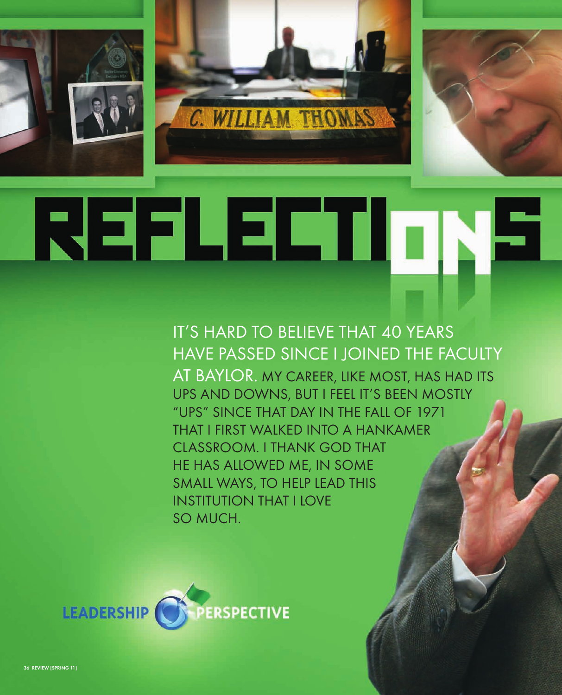





## REFLECTIONS

IT'S HARD TO BELIEVE THAT 40 YEARS HAVE PASSED SINCE I JOINED THE FACULTY AT BAYLOR. MY CAREER, LIKE MOST, HAS HAD ITS UPS AND DOWNS, BUT I FEEL IT'S BEEN MOSTLY "UPS" SINCE THAT DAY IN THE FALL OF 1971 THAT I FIRST WALKED INTO A HANKAMER CLASSROOM. I THANK GOD THAT HE HAS ALLOWED ME, IN SOME SMALL WAYS, TO HELP LEAD THIS INSTITUTION THAT I LOVE SO MUCH.

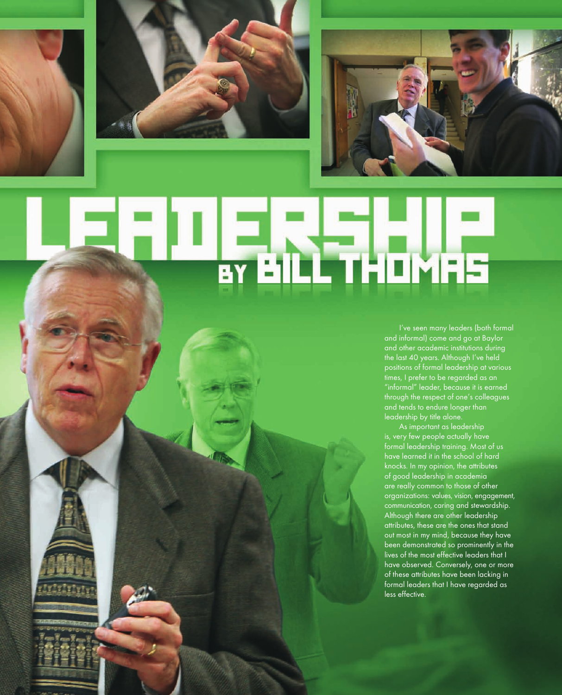





# **STAILL THOMAS**

I've seen many leaders (both formal and informal) come and go at Baylor and other academic institutions during the last 40 years. Although I've held positions of formal leadership at various times, I prefer to be regarded as an "informal" leader, because it is earned through the respect of one's colleagues and tends to endure longer than leadership by title alone.

As important as leadership is, very few people actually have formal leadership training. Most of us have learned it in the school of hard knocks. In my opinion, the attributes of good leadership in academia are really common to those of other organizations: values, vision, engagement, communication, caring and stewardship. Although there are other leadership attributes, these are the ones that stand out most in my mind, because they have been demonstrated so prominently in the lives of the most effective leaders that I have observed. Conversely, one or more of these attributes have been lacking in formal leaders that I have regarded as less effective.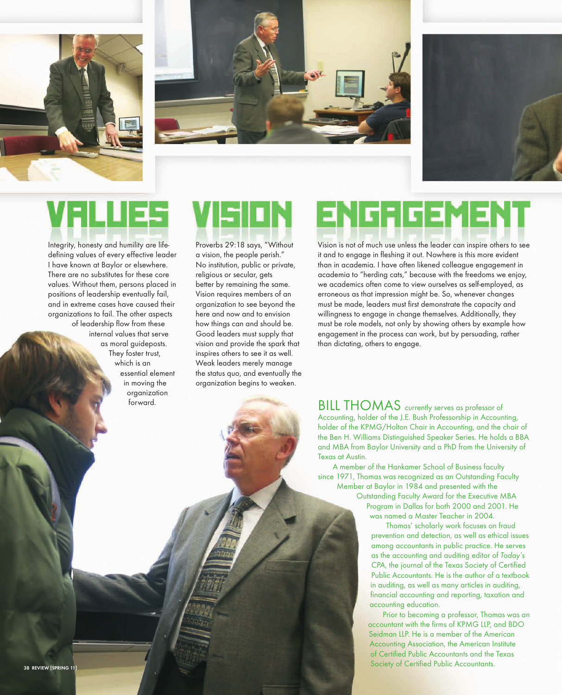





## VFILLIES

Integrity, honesty and humility are lifedefining values of every effective leader I have known at Baylor or elsewhere. There are no substitutes for these core values. Without them, persons placed in positions of leadership eventually fail, and in extreme cases have caused their organizations to fail. The other aspects of leadership flow from these internal values that serve as moral guideposts. They foster trust, which is an essential element in moving the organization forward.

Proverbs 29:18 says, "Without a vision, the people perish." No institution, public or private, religious or secular, gets better by remaining the same. Vision requires members of an organization to see beyond the here and now and to envision how things can and should be. Good leaders must supply that vision and provide the spark that inspires others to see it as well. Weak leaders merely manage the status quo, and eventually the organization begins to weaken.

## **ENGRGEMENT**

Vision is not of much use unless the leader can inspire others to see it and to engage in fleshing it out. Nowhere is this more evident than in academia. I have often likened colleague engagement in academia to "herding cats," because with the freedoms we enjoy, we academics often come to view ourselves as self-employed, as erroneous as that impression might be. So, whenever changes must be made, leaders must first demonstrate the capacity and willingness to engage in change themselves. Additionally, they must be role models, not only by showing others by example how engagement in the process can work, but by persuading, rather than dictating, others to engage.

BILL THOMAS currently serves as professor of Accounting, holder of the J.E. Bush Professorship in Accounting, holder of the KPMG/Holton Chair in Accounting, and the chair of the Ben H. Williams Distinguished Speaker Series. He holds a BBA and MBA from Baylor University and a PhD from the University of Texas at Austin.

A member of the Hankamer School of Business faculty since 1971, Thomas was recognized as an Outstanding Faculty Member at Baylor in 1984 and presented with the Outstanding Faculty Award for the Executive MBA

Program in Dallas for both 2000 and 2001. He was named a Master Teacher in 2004.

Thomas' scholarly work focuses on fraud prevention and detection, as well as ethical issues among accountants in public practice. He serves as the accounting and auditing editor of Today's CPA, the journal of the Texas Society of Certified Public Accountants. He is the author of a textbook in auditing, as well as many articles in auditing, financial accounting and reporting, taxation and accounting education.

Prior to becoming a professor, Thomas was an accountant with the firms of KPMG LLP, and BDO Seidman LLP. He is a member of the American Accounting Association, the American Institute of Certified Public Accountants and the Texas Society of Certified Public Accountants.